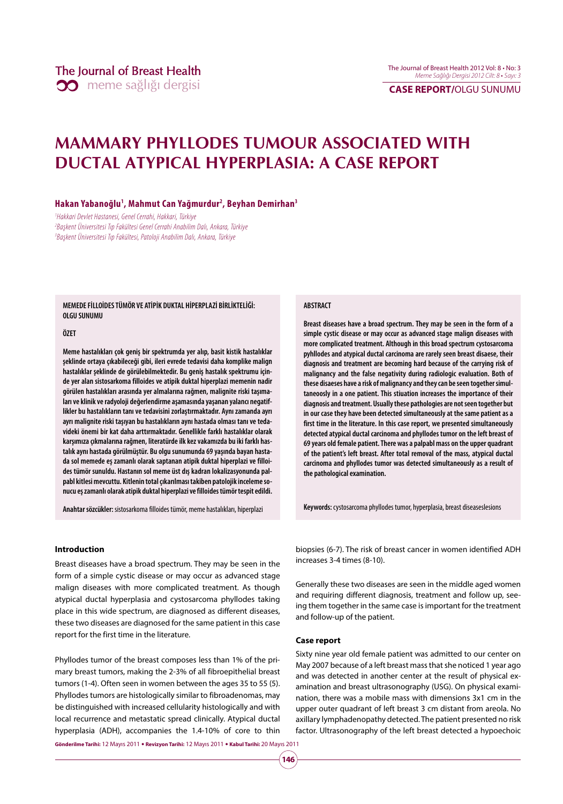# **MAMMARY PHYLLODES TUMOUR ASSOCIATED WITH DUCTAL ATYPICAL HYPERPLASIA: A CASE REPORT**

### **Hakan Yabanoğlu1 , Mahmut Can Yağmurdur2 , Beyhan Demirhan3**

1 Hakkari Devlet Hastanesi, Genel Cerrahi, Hakkari, Türkiye 2 Başkent Üniversitesi Tıp Fakültesi Genel Cerrahi Anabilim Dalı, Ankara, Türkiye 3 Başkent Üniversitesi Tıp Fakültesi, Patoloji Anabilim Dalı, Ankara, Türkiye

**MEMEDE FİLLOİDES TÜMÖR VE ATİPİK DUKTAL HİPERPLAZİ BİRLİKTELİĞİ: OLGU SUNUMU**

### **ÖZET**

**Meme hastalıkları çok geniş bir spektrumda yer alıp, basit kistik hastalıklar şeklinde ortaya çıkabileceği gibi, ileri evrede tedavisi daha komplike malign hastalıklar şeklinde de görülebilmektedir. Bu geniş hastalık spektrumu içinde yer alan sistosarkoma filloides ve atipik duktal hiperplazi memenin nadir görülen hastalıkları arasında yer almalarına rağmen, malignite riski taşımaları ve klinik ve radyoloji değerlendirme aşamasında yaşanan yalancı negatiflikler bu hastalıkların tanı ve tedavisini zorlaştırmaktadır. Aynı zamanda ayrı ayrı malignite riski taşıyan bu hastalıkların aynı hastada olması tanı ve tedavideki önemi bir kat daha arttırmaktadır. Genellikle farklı hastalıklar olarak karşımıza çıkmalarına rağmen, literatürde ilk kez vakamızda bu iki farklı hastalık aynı hastada görülmüştür. Bu olgu sunumunda 69 yaşında bayan hastada sol memede eş zamanlı olarak saptanan atipik duktal hiperplazi ve filloides tümör sunuldu. Hastanın sol meme üst dış kadran lokalizasyonunda palpabl kitlesi mevcuttu. Kitlenin total çıkarılması takiben patolojik inceleme sonucu eş zamanlı olarak atipik duktal hiperplazi ve filloides tümör tespit edildi.**

**Anahtar sözcükler:** sistosarkoma filloides tümör, meme hastalıkları, hiperplazi

### **ABSTRACT**

**Breast diseases have a broad spectrum. They may be seen in the form of a simple cystic disease or may occur as advanced stage malign diseases with more complicated treatment. Although in this broad spectrum cystosarcoma pyhllodes and atypical ductal carcinoma are rarely seen breast disaese, their diagnosis and treatment are becoming hard because of the carrying risk of malignancy and the false negativity during radiologic evaluation. Both of these disaeses have a risk of malignancy and they can be seen together simultaneoosly in a one patient. This stiuation increases the importance of their diagnosis and treatment. Usually these pathologies are not seen together but in our case they have been detected simultaneously at the same patient as a first time in the literature. In this case report, we presented simultaneously detected atypical ductal carcinoma and phyllodes tumor on the left breast of 69 years old female patient. There was a palpabl mass on the upper quadrant of the patient's left breast. After total removal of the mass, atypical ductal carcinoma and phyllodes tumor was detected simultaneously as a result of the pathological examination.** 

**Keywords:** cystosarcoma phyllodes tumor, hyperplasia, breast diseaseslesions

### **Introduction**

Breast diseases have a broad spectrum. They may be seen in the form of a simple cystic disease or may occur as advanced stage malign diseases with more complicated treatment. As though atypical ductal hyperplasia and cystosarcoma phyllodes taking place in this wide spectrum, are diagnosed as different diseases, these two diseases are diagnosed for the same patient in this case report for the first time in the literature.

Phyllodes tumor of the breast composes less than 1% of the primary breast tumors, making the 2-3% of all fibroepithelial breast tumors (1-4). Often seen in women between the ages 35 to 55 (5). Phyllodes tumors are histologically similar to fibroadenomas, may be distinguished with increased cellularity histologically and with local recurrence and metastatic spread clinically. Atypical ductal hyperplasia (ADH), accompanies the 1.4-10% of core to thin

**Gönderilme Tarihi:** 12 Mayıs 2011  **Revizyon Tarihi:** 12 Mayıs 2011  **Kabul Tarihi:** 20 Mayıs 2011

biopsies (6-7). The risk of breast cancer in women identified ADH increases 3-4 times (8-10).

Generally these two diseases are seen in the middle aged women and requiring different diagnosis, treatment and follow up, seeing them together in the same case is important for the treatment and follow-up of the patient.

#### **Case report**

Sixty nine year old female patient was admitted to our center on May 2007 because of a left breast mass that she noticed 1 year ago and was detected in another center at the result of physical examination and breast ultrasonography (USG). On physical examination, there was a mobile mass with dimensions 3x1 cm in the upper outer quadrant of left breast 3 cm distant from areola. No axillary lymphadenopathy detected. The patient presented no risk factor. Ultrasonography of the left breast detected a hypoechoic

**146**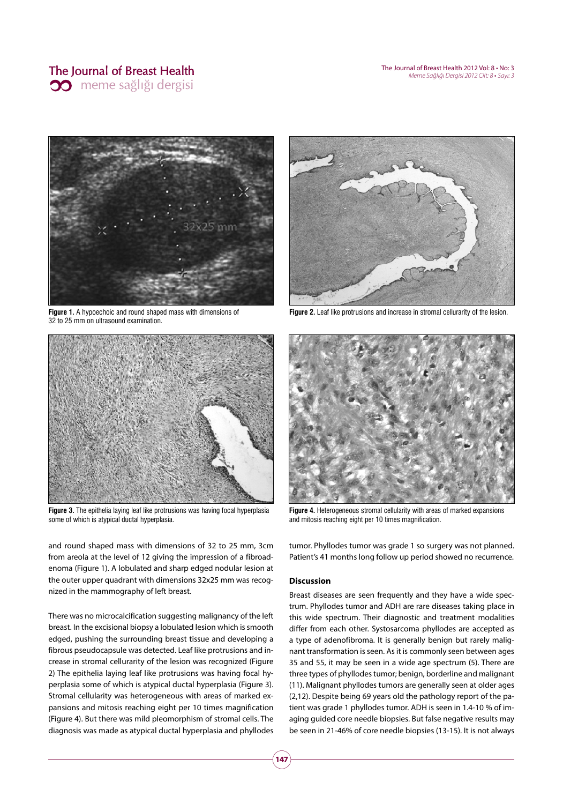### The Journal of Breast Health **00** meme sağlığı dergisi

The Journal of Breast Health 2012 Vol: 8 • No: 3 Meme Sağlığı Dergisi 2012 Cilt: 8 • Sayı: 3



**Figure 1.** A hypoechoic and round shaped mass with dimensions of 32 to 25 mm on ultrasound examination.



**Figure 3.** The epithelia laying leaf like protrusions was having focal hyperplasia some of which is atypical ductal hyperplasia.

and round shaped mass with dimensions of 32 to 25 mm, 3cm from areola at the level of 12 giving the impression of a fibroadenoma (Figure 1). A lobulated and sharp edged nodular lesion at the outer upper quadrant with dimensions 32x25 mm was recognized in the mammography of left breast.

There was no microcalcification suggesting malignancy of the left breast. In the excisional biopsy a lobulated lesion which is smooth edged, pushing the surrounding breast tissue and developing a fibrous pseudocapsule was detected. Leaf like protrusions and increase in stromal cellurarity of the lesion was recognized (Figure 2) The epithelia laying leaf like protrusions was having focal hyperplasia some of which is atypical ductal hyperplasia (Figure 3). Stromal cellularity was heterogeneous with areas of marked expansions and mitosis reaching eight per 10 times magnification (Figure 4). But there was mild pleomorphism of stromal cells. The diagnosis was made as atypical ductal hyperplasia and phyllodes



**Figure 2.** Leaf like protrusions and increase in stromal cellurarity of the lesion.



**Figure 4.** Heterogeneous stromal cellularity with areas of marked expansions and mitosis reaching eight per 10 times magnification.

tumor. Phyllodes tumor was grade 1 so surgery was not planned. Patient's 41 months long follow up period showed no recurrence.

### **Discussion**

Breast diseases are seen frequently and they have a wide spectrum. Phyllodes tumor and ADH are rare diseases taking place in this wide spectrum. Their diagnostic and treatment modalities differ from each other. Systosarcoma phyllodes are accepted as a type of adenofibroma. It is generally benign but rarely malignant transformation is seen. As it is commonly seen between ages 35 and 55, it may be seen in a wide age spectrum (5). There are three types of phyllodes tumor; benign, borderline and malignant (11). Malignant phyllodes tumors are generally seen at older ages (2,12). Despite being 69 years old the pathology report of the patient was grade 1 phyllodes tumor. ADH is seen in 1.4-10 % of imaging guided core needle biopsies. But false negative results may be seen in 21-46% of core needle biopsies (13-15). It is not always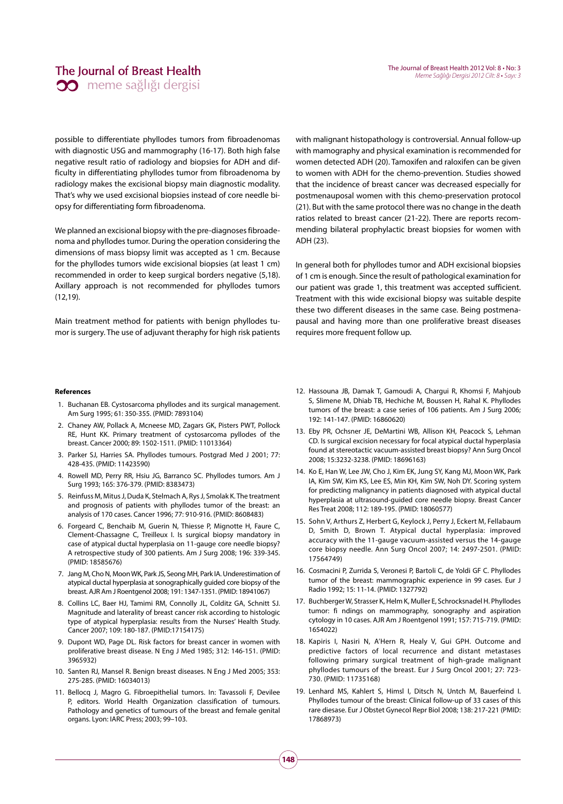### The Journal of Breast Health **00** meme sağlığı dergisi

possible to differentiate phyllodes tumors from fibroadenomas with diagnostic USG and mammography (16-17). Both high false negative result ratio of radiology and biopsies for ADH and difficulty in differentiating phyllodes tumor from fibroadenoma by radiology makes the excisional biopsy main diagnostic modality. That's why we used excisional biopsies instead of core needle biopsy for differentiating form fibroadenoma.

We planned an excisional biopsy with the pre-diagnoses fibroadenoma and phyllodes tumor. During the operation considering the dimensions of mass biopsy limit was accepted as 1 cm. Because for the phyllodes tumors wide excisional biopsies (at least 1 cm) recommended in order to keep surgical borders negative (5,18). Axillary approach is not recommended for phyllodes tumors (12,19).

Main treatment method for patients with benign phyllodes tumor is surgery. The use of adjuvant theraphy for high risk patients with malignant histopathology is controversial. Annual follow-up with mamography and physical examination is recommended for women detected ADH (20). Tamoxifen and raloxifen can be given to women with ADH for the chemo-prevention. Studies showed that the incidence of breast cancer was decreased especially for postmenauposal women with this chemo-preservation protocol (21). But with the same protocol there was no change in the death ratios related to breast cancer (21-22). There are reports recommending bilateral prophylactic breast biopsies for women with ADH (23).

In general both for phyllodes tumor and ADH excisional biopsies of 1 cm is enough. Since the result of pathological examination for our patient was grade 1, this treatment was accepted sufficient. Treatment with this wide excisional biopsy was suitable despite these two different diseases in the same case. Being postmenapausal and having more than one proliferative breast diseases requires more frequent follow up.

#### **References**

- 1. Buchanan EB. Cystosarcoma phyllodes and its surgical management. Am Surg 1995; 61: 350-355. (PMID: 7893104)
- 2. Chaney AW, Pollack A, Mcneese MD, Zagars GK, Pisters PWT, Pollock RE, Hunt KK. Primary treatment of cystosarcoma pyllodes of the breast. Cancer 2000; 89: 1502-1511. (PMID: 11013364)
- 3. Parker SJ, Harries SA. Phyllodes tumours. Postgrad Med J 2001; 77: 428-435. (PMID: 11423590)
- 4. Rowell MD, Perry RR, Hsiu JG, Barranco SC. Phyllodes tumors. Am J Surg 1993; 165: 376-379. (PMID: 8383473)
- 5. Reinfuss M, Mitus J, Duda K, Stelmach A, Rys J, Smolak K. The treatment and prognosis of patients with phyllodes tumor of the breast: an analysis of 170 cases. Cancer 1996; 77: 910-916. (PMID: 8608483)
- 6. Forgeard C, Benchaib M, Guerin N, Thiesse P, Mignotte H, Faure C, Clement-Chassagne C, Treilleux I. Is surgical biopsy mandatory in case of atypical ductal hyperplasia on 11-gauge core needle biopsy? A retrospective study of 300 patients. Am J Surg 2008; 196: 339-345. (PMID: 18585676)
- 7. Jang M, Cho N, Moon WK, Park JS, Seong MH, Park IA. Underestimation of atypical ductal hyperplasia at sonographically guided core biopsy of the breast. AJR Am J Roentgenol 2008; 191: 1347-1351. (PMID: 18941067)
- 8. Collins LC, Baer HJ, Tamimi RM, Connolly JL, Colditz GA, Schnitt SJ. Magnitude and laterality of breast cancer risk according to histologic type of atypical hyperplasia: results from the Nurses' Health Study. Cancer 2007; 109: 180-187. (PMID:17154175)
- 9. Dupont WD, Page DL. Risk factors for breast cancer in women with proliferative breast disease. N Eng J Med 1985; 312: 146-151. (PMID: 3965932)
- 10. Santen RJ, Mansel R. Benign breast diseases. N Eng J Med 2005; 353: 275-285. (PMID: 16034013)
- 11. Bellocq J, Magro G. Fibroepithelial tumors. In: Tavassoli F, Devilee P, editors. World Health Organization classification of tumours. Pathology and genetics of tumours of the breast and female genital organs. Lyon: IARC Press; 2003; 99–103.
- 12. Hassouna JB, Damak T, Gamoudi A, Chargui R, Khomsi F, Mahjoub S, Slimene M, Dhiab TB, Hechiche M, Boussen H, Rahal K. Phyllodes tumors of the breast: a case series of 106 patients. Am J Surg 2006; 192: 141-147. (PMID: 16860620)
- 13. Eby PR, Ochsner JE, DeMartini WB, Allison KH, Peacock S, Lehman CD. Is surgical excision necessary for focal atypical ductal hyperplasia found at stereotactic vacuum-assisted breast biopsy? Ann Surg Oncol 2008; 15:3232-3238. (PMID: 18696163)
- 14. Ko E, Han W, Lee JW, Cho J, Kim EK, Jung SY, Kang MJ, Moon WK, Park IA, Kim SW, Kim KS, Lee ES, Min KH, Kim SW, Noh DY. Scoring system for predicting malignancy in patients diagnosed with atypical ductal hyperplasia at ultrasound-guided core needle biopsy. Breast Cancer Res Treat 2008; 112: 189-195. (PMID: 18060577)
- 15. Sohn V, Arthurs Z, Herbert G, Keylock J, Perry J, Eckert M, Fellabaum D, Smith D, Brown T. Atypical ductal hyperplasia: improved accuracy with the 11-gauge vacuum-assisted versus the 14-gauge core biopsy needle. Ann Surg Oncol 2007; 14: 2497-2501. (PMID: 17564749)
- 16. Cosmacini P, Zurrida S, Veronesi P, Bartoli C, de Yoldi GF C. Phyllodes tumor of the breast: mammographic experience in 99 cases. Eur J Radio 1992; 15: 11-14. (PMID: 1327792)
- 17. Buchberger W, Strasser K, Helm K, Muller E, Schrocksnadel H. Phyllodes tumor: fi ndings on mammography, sonography and aspiration cytology in 10 cases. AJR Am J Roentgenol 1991; 157: 715-719. (PMID: 1654022)
- 18. Kapiris I, Nasiri N, A'Hern R, Healy V, Gui GPH. Outcome and predictive factors of local recurrence and distant metastases following primary surgical treatment of high-grade malignant phyllodes tumours of the breast. Eur J Surg Oncol 2001; 27: 723- 730. (PMID: 11735168)
- 19. Lenhard MS, Kahlert S, Himsl I, Ditsch N, Untch M, Bauerfeind I. Phyllodes tumour of the breast: Clinical follow-up of 33 cases of this rare diesase. Eur J Obstet Gynecol Repr Biol 2008; 138: 217-221 (PMID: 17868973)